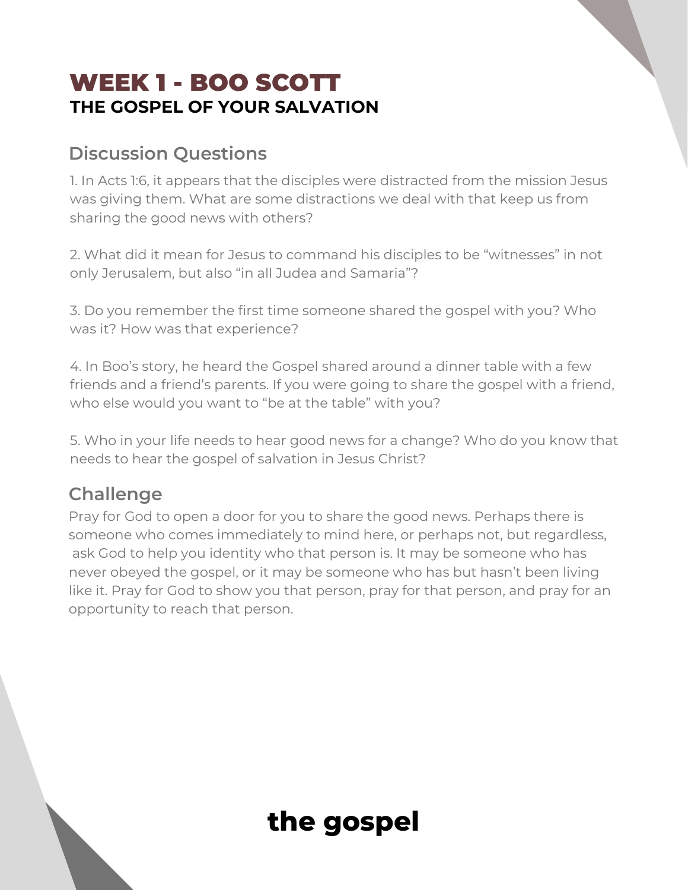## WEEK 1 - BOO SCOTT **THE GOSPEL OF YOUR SALVATION**

#### **Discussion Questions**

1. In Acts 1:6, it appears that the disciples were distracted from the mission Jesus was giving them. What are some distractions we deal with that keep us from sharing the good news with others?

2. What did it mean for Jesus to command his disciples to be "witnesses" in not only Jerusalem, but also "in all Judea and Samaria"?

3. Do you remember the first time someone shared the gospel with you? Who was it? How was that experience?

4. In Boo's story, he heard the Gospel shared around a dinner table with a few friends and a friend's parents. If you were going to share the gospel with a friend, who else would you want to "be at the table" with you?

5. Who in your life needs to hear good news for a change? Who do you know that needs to hear the gospel of salvation in Jesus Christ?

#### **Challenge**

Pray for God to open a door for you to share the good news. Perhaps there is someone who comes immediately to mind here, or perhaps not, but regardless, ask God to help you identity who that person is. It may be someone who has never obeyed the gospel, or it may be someone who has but hasn't been living like it. Pray for God to show you that person, pray for that person, and pray for an opportunity to reach that person.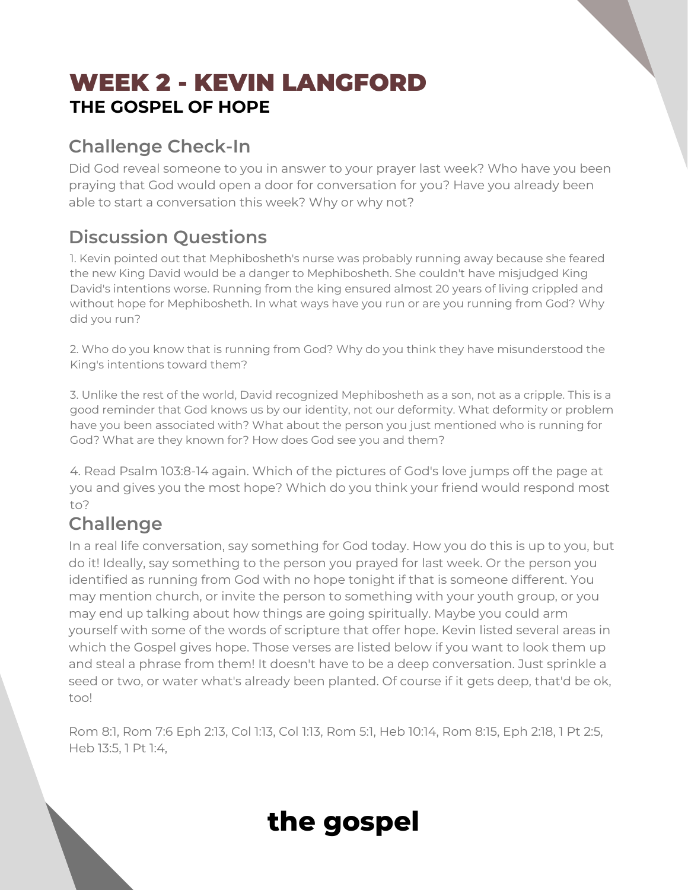## WEEK 2 - KEVIN LANGFORD **THE GOSPEL OF HOPE**

### **Challenge Check-In**

Did God reveal someone to you in answer to your prayer last week? Who have you been praying that God would open a door for conversation for you? Have you already been able to start a conversation this week? Why or why not?

### **Discussion Questions**

1. Kevin pointed out that Mephibosheth's nurse was probably running away because she feared the new King David would be a danger to Mephibosheth. She couldn't have misjudged King David's intentions worse. Running from the king ensured almost 20 years of living crippled and without hope for Mephibosheth. In what ways have you run or are you running from God? Why did you run?

2. Who do you know that is running from God? Why do you think they have misunderstood the King's intentions toward them?

3. Unlike the rest of the world, David recognized Mephibosheth as a son, not as a cripple. This is a good reminder that God knows us by our identity, not our deformity. What deformity or problem have you been associated with? What about the person you just mentioned who is running for God? What are they known for? How does God see you and them?

4. Read Psalm 103:8-14 again. Which of the pictures of God's love jumps off the page at you and gives you the most hope? Which do you think your friend would respond most to?

#### **Challenge**

In a real life conversation, say something for God today. How you do this is up to you, but do it! Ideally, say something to the person you prayed for last week. Or the person you identified as running from God with no hope tonight if that is someone different. You may mention church, or invite the person to something with your youth group, or you may end up talking about how things are going spiritually. Maybe you could arm yourself with some of the words of scripture that offer hope. Kevin listed several areas in which the Gospel gives hope. Those verses are listed below if you want to look them up and steal a phrase from them! It doesn't have to be a deep conversation. Just sprinkle a seed or two, or water what's already been planted. Of course if it gets deep, that'd be ok, too!

Rom 8:1, Rom 7:6 Eph 2:13, Col 1:13, Col 1:13, Rom 5:1, Heb 10:14, Rom 8:15, Eph 2:18, 1 Pt 2:5, Heb 13:5, 1 Pt 1:4,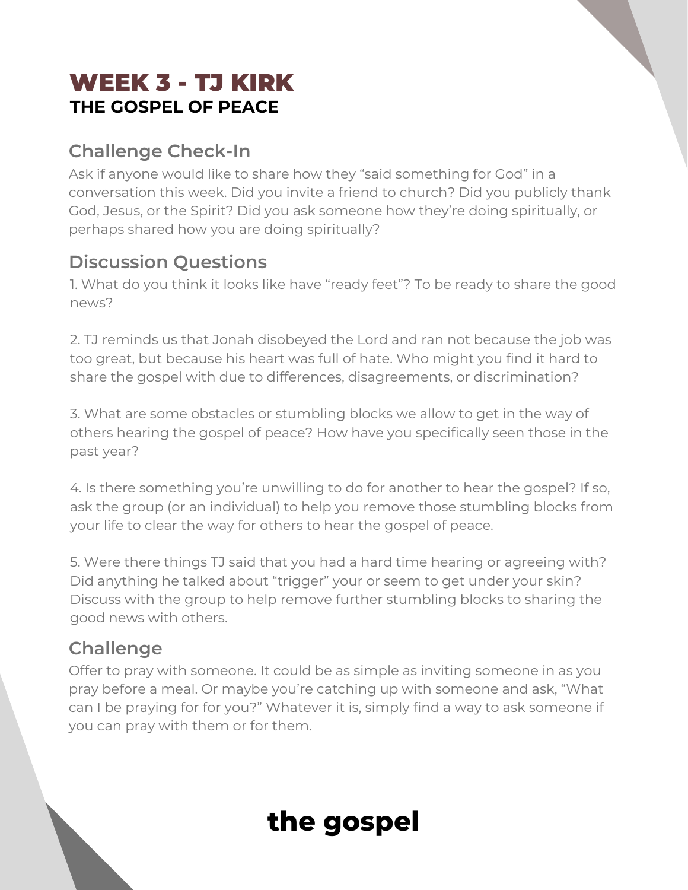## WEEK 3 - TJ KIRK **THE GOSPEL OF PEACE**

#### **Challenge Check-In**

Ask if anyone would like to share how they "said something for God" in a conversation this week. Did you invite a friend to church? Did you publicly thank God, Jesus, or the Spirit? Did you ask someone how they're doing spiritually, or perhaps shared how you are doing spiritually?

#### **Discussion Questions**

1. What do you think it looks like have "ready feet"? To be ready to share the good news?

2. TJ reminds us that Jonah disobeyed the Lord and ran not because the job was too great, but because his heart was full of hate. Who might you find it hard to share the gospel with due to differences, disagreements, or discrimination?

3. What are some obstacles or stumbling blocks we allow to get in the way of others hearing the gospel of peace? How have you specifically seen those in the past year?

4. Is there something you're unwilling to do for another to hear the gospel? If so, ask the group (or an individual) to help you remove those stumbling blocks from your life to clear the way for others to hear the gospel of peace.

5. Were there things TJ said that you had a hard time hearing or agreeing with? Did anything he talked about "trigger" your or seem to get under your skin? Discuss with the group to help remove further stumbling blocks to sharing the good news with others.

#### **Challenge**

Offer to pray with someone. It could be as simple as inviting someone in as you pray before a meal. Or maybe you're catching up with someone and ask, "What can I be praying for for you?" Whatever it is, simply find a way to ask someone if you can pray with them or for them.